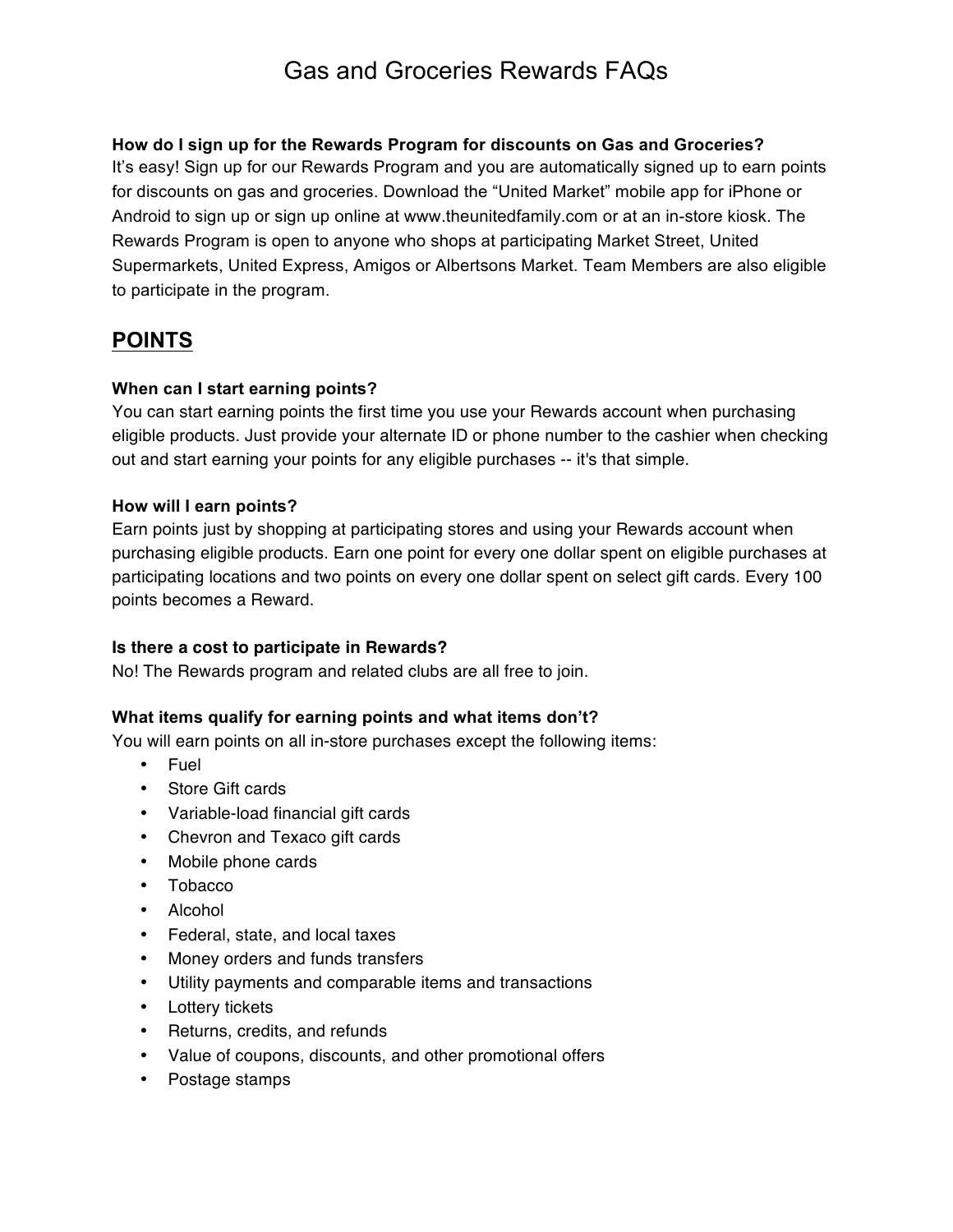#### **How do I sign up for the Rewards Program for discounts on Gas and Groceries?**

It's easy! Sign up for our Rewards Program and you are automatically signed up to earn points for discounts on gas and groceries. Download the "United Market" mobile app for iPhone or Android to sign up or sign up online at www.theunitedfamily.com or at an in-store kiosk. The Rewards Program is open to anyone who shops at participating Market Street, United Supermarkets, United Express, Amigos or Albertsons Market. Team Members are also eligible to participate in the program.

## **POINTS**

#### **When can I start earning points?**

You can start earning points the first time you use your Rewards account when purchasing eligible products. Just provide your alternate ID or phone number to the cashier when checking out and start earning your points for any eligible purchases -- it's that simple.

#### **How will I earn points?**

Earn points just by shopping at participating stores and using your Rewards account when purchasing eligible products. Earn one point for every one dollar spent on eligible purchases at participating locations and two points on every one dollar spent on select gift cards. Every 100 points becomes a Reward.

#### **Is there a cost to participate in Rewards?**

No! The Rewards program and related clubs are all free to join.

#### **What items qualify for earning points and what items don't?**

You will earn points on all in-store purchases except the following items:

- Fuel
- Store Gift cards
- Variable-load financial gift cards
- Chevron and Texaco gift cards
- Mobile phone cards
- Tobacco
- Alcohol
- Federal, state, and local taxes
- Money orders and funds transfers
- Utility payments and comparable items and transactions
- Lottery tickets
- Returns, credits, and refunds
- Value of coupons, discounts, and other promotional offers
- Postage stamps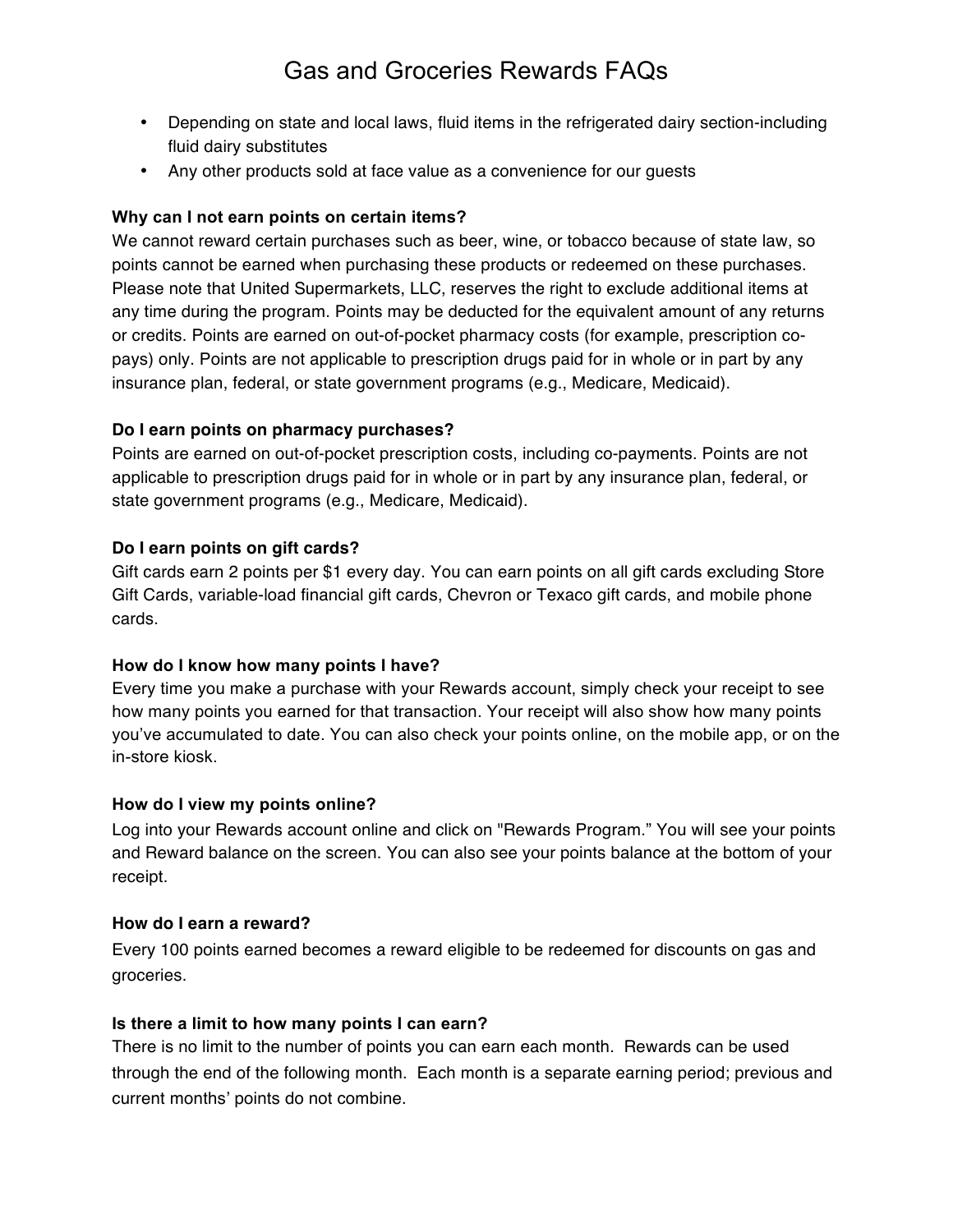- Depending on state and local laws, fluid items in the refrigerated dairy section-including fluid dairy substitutes
- Any other products sold at face value as a convenience for our guests

#### **Why can I not earn points on certain items?**

We cannot reward certain purchases such as beer, wine, or tobacco because of state law, so points cannot be earned when purchasing these products or redeemed on these purchases. Please note that United Supermarkets, LLC, reserves the right to exclude additional items at any time during the program. Points may be deducted for the equivalent amount of any returns or credits. Points are earned on out-of-pocket pharmacy costs (for example, prescription copays) only. Points are not applicable to prescription drugs paid for in whole or in part by any insurance plan, federal, or state government programs (e.g., Medicare, Medicaid).

#### **Do I earn points on pharmacy purchases?**

Points are earned on out-of-pocket prescription costs, including co-payments. Points are not applicable to prescription drugs paid for in whole or in part by any insurance plan, federal, or state government programs (e.g., Medicare, Medicaid).

#### **Do I earn points on gift cards?**

Gift cards earn 2 points per \$1 every day. You can earn points on all gift cards excluding Store Gift Cards, variable-load financial gift cards, Chevron or Texaco gift cards, and mobile phone cards.

#### **How do I know how many points I have?**

Every time you make a purchase with your Rewards account, simply check your receipt to see how many points you earned for that transaction. Your receipt will also show how many points you've accumulated to date. You can also check your points online, on the mobile app, or on the in-store kiosk.

#### **How do I view my points online?**

Log into your Rewards account online and click on "Rewards Program." You will see your points and Reward balance on the screen. You can also see your points balance at the bottom of your receipt.

#### **How do I earn a reward?**

Every 100 points earned becomes a reward eligible to be redeemed for discounts on gas and groceries.

### **Is there a limit to how many points I can earn?**

There is no limit to the number of points you can earn each month. Rewards can be used through the end of the following month. Each month is a separate earning period; previous and current months' points do not combine.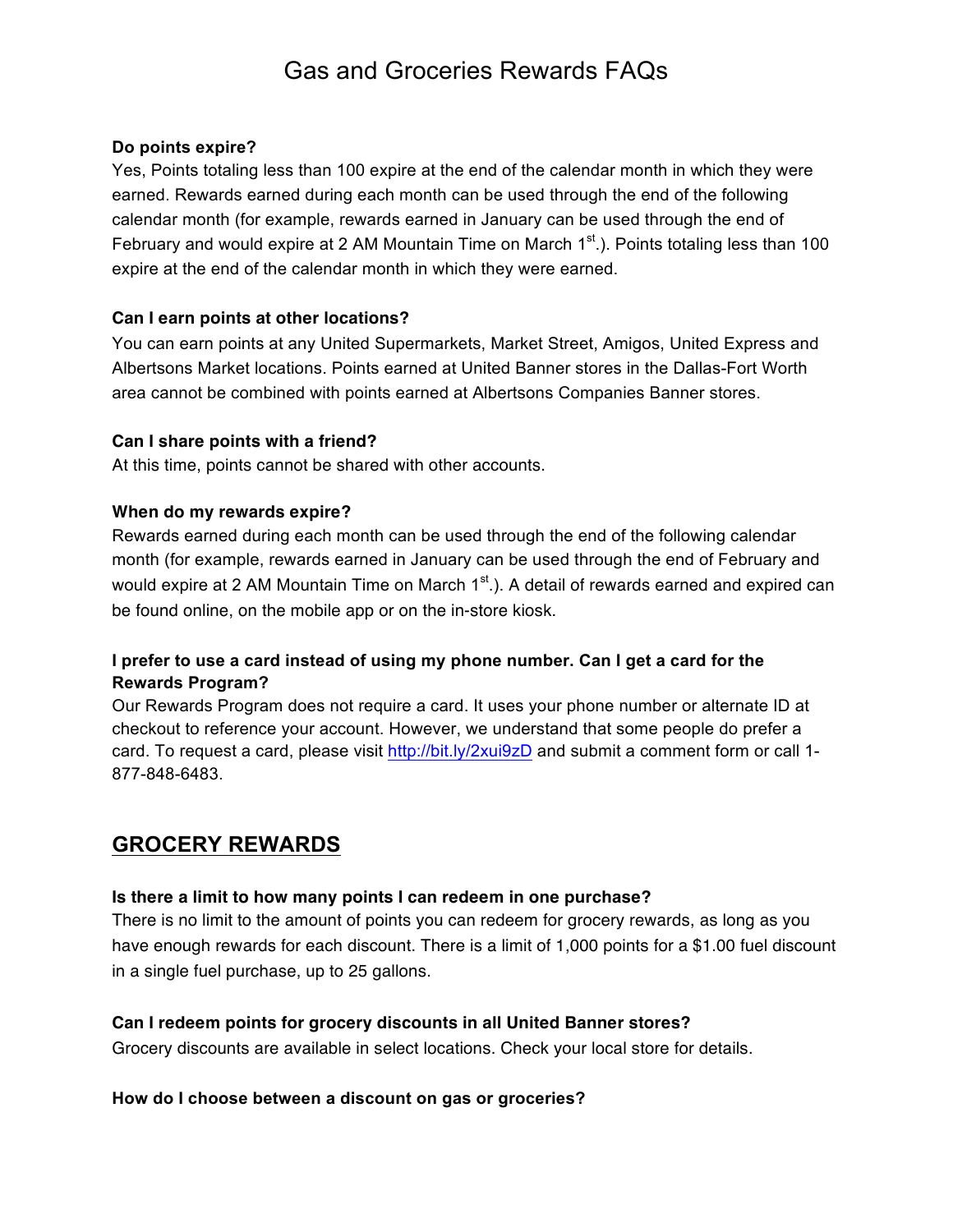#### **Do points expire?**

Yes, Points totaling less than 100 expire at the end of the calendar month in which they were earned. Rewards earned during each month can be used through the end of the following calendar month (for example, rewards earned in January can be used through the end of February and would expire at 2 AM Mountain Time on March  $1<sup>st</sup>$ .). Points totaling less than 100 expire at the end of the calendar month in which they were earned.

#### **Can I earn points at other locations?**

You can earn points at any United Supermarkets, Market Street, Amigos, United Express and Albertsons Market locations. Points earned at United Banner stores in the Dallas-Fort Worth area cannot be combined with points earned at Albertsons Companies Banner stores.

#### **Can I share points with a friend?**

At this time, points cannot be shared with other accounts.

#### **When do my rewards expire?**

Rewards earned during each month can be used through the end of the following calendar month (for example, rewards earned in January can be used through the end of February and would expire at 2 AM Mountain Time on March  $1<sup>st</sup>$ .). A detail of rewards earned and expired can be found online, on the mobile app or on the in-store kiosk.

### **I prefer to use a card instead of using my phone number. Can I get a card for the Rewards Program?**

Our Rewards Program does not require a card. It uses your phone number or alternate ID at checkout to reference your account. However, we understand that some people do prefer a card. To request a card, please visit http://bit.ly/2xui9zD and submit a comment form or call 1- 877-848-6483.

## **GROCERY REWARDS**

#### **Is there a limit to how many points I can redeem in one purchase?**

There is no limit to the amount of points you can redeem for grocery rewards, as long as you have enough rewards for each discount. There is a limit of 1,000 points for a \$1.00 fuel discount in a single fuel purchase, up to 25 gallons.

#### **Can I redeem points for grocery discounts in all United Banner stores?**

Grocery discounts are available in select locations. Check your local store for details.

#### **How do I choose between a discount on gas or groceries?**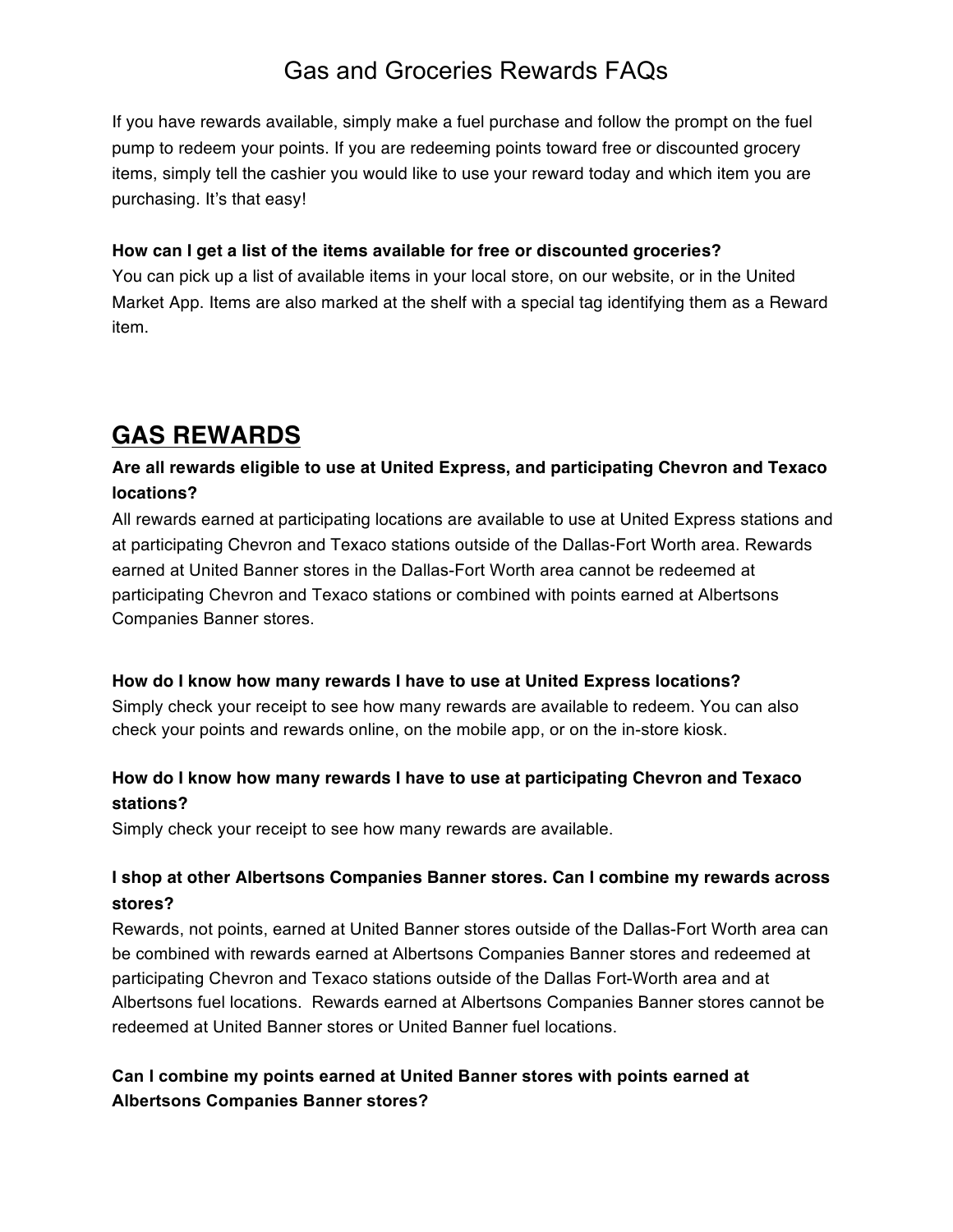If you have rewards available, simply make a fuel purchase and follow the prompt on the fuel pump to redeem your points. If you are redeeming points toward free or discounted grocery items, simply tell the cashier you would like to use your reward today and which item you are purchasing. It's that easy!

#### **How can I get a list of the items available for free or discounted groceries?**

You can pick up a list of available items in your local store, on our website, or in the United Market App. Items are also marked at the shelf with a special tag identifying them as a Reward item.

## **GAS REWARDS**

### **Are all rewards eligible to use at United Express, and participating Chevron and Texaco locations?**

All rewards earned at participating locations are available to use at United Express stations and at participating Chevron and Texaco stations outside of the Dallas-Fort Worth area. Rewards earned at United Banner stores in the Dallas-Fort Worth area cannot be redeemed at participating Chevron and Texaco stations or combined with points earned at Albertsons Companies Banner stores.

#### **How do I know how many rewards I have to use at United Express locations?**

Simply check your receipt to see how many rewards are available to redeem. You can also check your points and rewards online, on the mobile app, or on the in-store kiosk.

## **How do I know how many rewards I have to use at participating Chevron and Texaco stations?**

Simply check your receipt to see how many rewards are available.

## **I shop at other Albertsons Companies Banner stores. Can I combine my rewards across stores?**

Rewards, not points, earned at United Banner stores outside of the Dallas-Fort Worth area can be combined with rewards earned at Albertsons Companies Banner stores and redeemed at participating Chevron and Texaco stations outside of the Dallas Fort-Worth area and at Albertsons fuel locations. Rewards earned at Albertsons Companies Banner stores cannot be redeemed at United Banner stores or United Banner fuel locations.

## **Can I combine my points earned at United Banner stores with points earned at Albertsons Companies Banner stores?**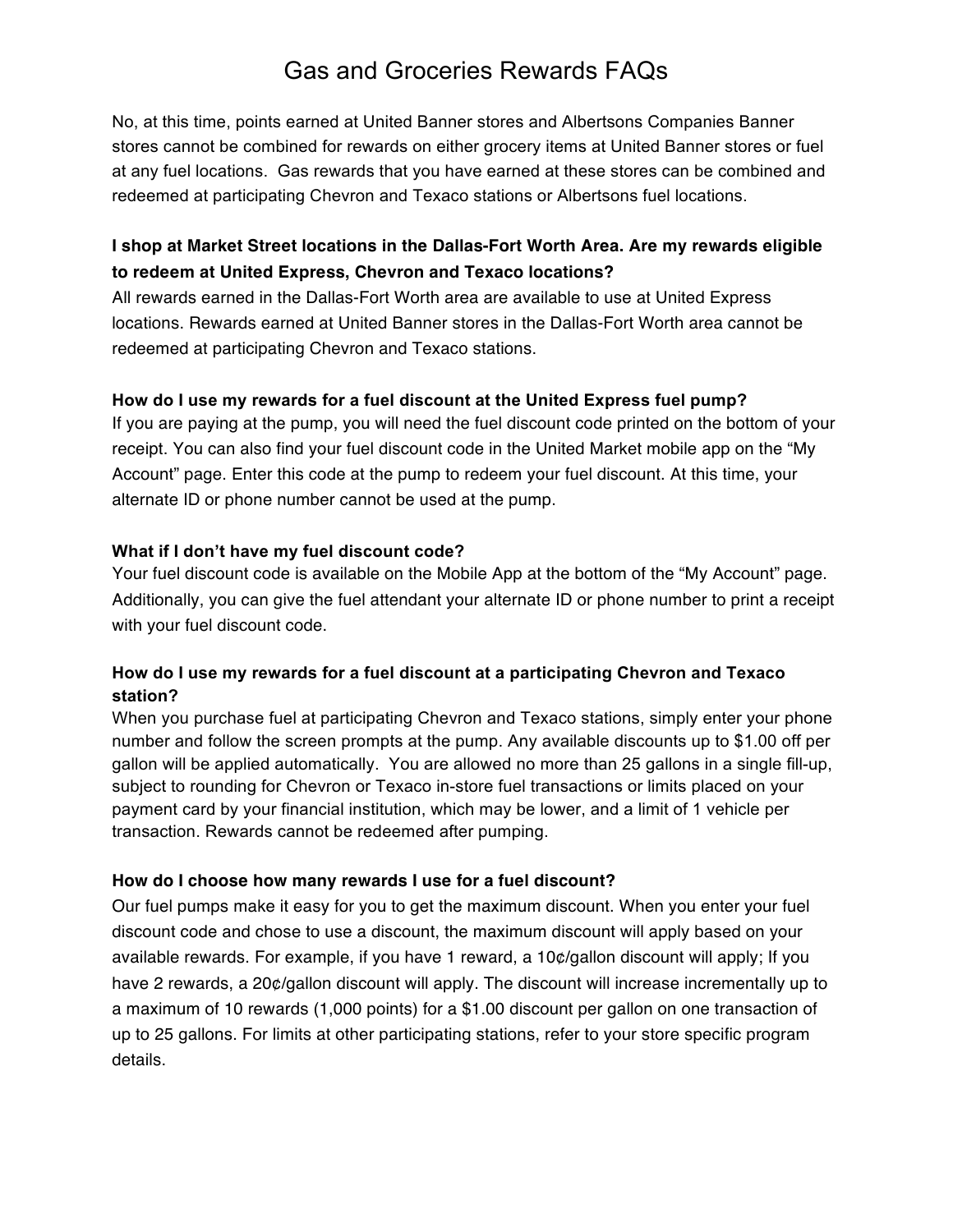No, at this time, points earned at United Banner stores and Albertsons Companies Banner stores cannot be combined for rewards on either grocery items at United Banner stores or fuel at any fuel locations. Gas rewards that you have earned at these stores can be combined and redeemed at participating Chevron and Texaco stations or Albertsons fuel locations.

## **I shop at Market Street locations in the Dallas-Fort Worth Area. Are my rewards eligible to redeem at United Express, Chevron and Texaco locations?**

All rewards earned in the Dallas-Fort Worth area are available to use at United Express locations. Rewards earned at United Banner stores in the Dallas-Fort Worth area cannot be redeemed at participating Chevron and Texaco stations.

#### **How do I use my rewards for a fuel discount at the United Express fuel pump?**

If you are paying at the pump, you will need the fuel discount code printed on the bottom of your receipt. You can also find your fuel discount code in the United Market mobile app on the "My Account" page. Enter this code at the pump to redeem your fuel discount. At this time, your alternate ID or phone number cannot be used at the pump.

#### **What if I don't have my fuel discount code?**

Your fuel discount code is available on the Mobile App at the bottom of the "My Account" page. Additionally, you can give the fuel attendant your alternate ID or phone number to print a receipt with your fuel discount code.

### **How do I use my rewards for a fuel discount at a participating Chevron and Texaco station?**

When you purchase fuel at participating Chevron and Texaco stations, simply enter your phone number and follow the screen prompts at the pump. Any available discounts up to \$1.00 off per gallon will be applied automatically. You are allowed no more than 25 gallons in a single fill-up, subject to rounding for Chevron or Texaco in-store fuel transactions or limits placed on your payment card by your financial institution, which may be lower, and a limit of 1 vehicle per transaction. Rewards cannot be redeemed after pumping.

### **How do I choose how many rewards I use for a fuel discount?**

Our fuel pumps make it easy for you to get the maximum discount. When you enter your fuel discount code and chose to use a discount, the maximum discount will apply based on your available rewards. For example, if you have 1 reward, a 10¢/gallon discount will apply; If you have 2 rewards, a 20¢/gallon discount will apply. The discount will increase incrementally up to a maximum of 10 rewards (1,000 points) for a \$1.00 discount per gallon on one transaction of up to 25 gallons. For limits at other participating stations, refer to your store specific program details.